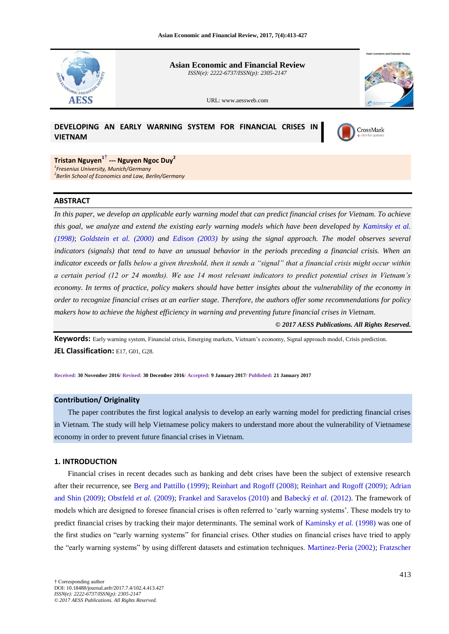







**Tristan Nguyen<sup>1</sup>**[†](#page-0-0) **--- Nguyen Ngoc Duy<sup>2</sup>** *1 Fresenius University, Munich/Germany 2 Berlin School of Economics and Law, Berlin/Germany*

## **ABSTRACT**

*In this paper, we develop an applicable early warning model that can predict financial crises for Vietnam. To achieve this goal, we analyze and extend the existing early warning models which have been developed by [Kaminsky et al.](#page-13-0)  [\(1998\)](#page-13-0)*; *[Goldstein et al. \(2000\)](#page-13-1) and [Edison \(2003\)](#page-13-2) by using the signal approach. The model observes several*  indicators (signals) that tend to have an unusual behavior in the periods preceding a financial crisis. When an *indicator exceeds or falls below a given threshold, then it sends a "signal" that a financial crisis might occur within a certain period (12 or 24 months). We use 14 most relevant indicators to predict potential crises in Vietnam's economy. In terms of practice, policy makers should have better insights about the vulnerability of the economy in order to recognize financial crises at an earlier stage. Therefore, the authors offer some recommendations for policy makers how to achieve the highest efficiency in warning and preventing future financial crises in Vietnam.*

*© 2017 AESS Publications. All Rights Reserved.*

**Keywords:** Early warning system, Financial crisis, Emerging markets, Vietnam"s economy, Signal approach model, Crisis prediction. **JEL Classification:** E17, G01, G28.

**Received: 30 November 2016/ Revised: 30 December 2016/ Accepted: 9 January 2017/ Published: 21 January 2017**

# **Contribution/ Originality**

The paper contributes the first logical analysis to develop an early warning model for predicting financial crises in Vietnam. The study will help Vietnamese policy makers to understand more about the vulnerability of Vietnamese economy in order to prevent future financial crises in Vietnam.

# **1. INTRODUCTION**

<span id="page-0-0"></span>Financial crises in recent decades such as banking and debt crises have been the subject of extensive research after their recurrence, see [Berg and Pattillo \(1999\)](#page-13-3); [Reinhart and Rogoff \(2008\)](#page-14-0); [Reinhart and Rogoff \(2009\)](#page-14-1); [Adrian](#page-13-4)  [and Shin \(2009\)](#page-13-4); [Obstfeld](#page-14-2) *et al.* (2009); [Frankel and Saravelos \(2010\)](#page-13-5) and [Babecký](#page-13-6) *et al.* (2012). The framework of models which are designed to foresee financial crises is often referred to "early warning systems". These models try to predict financial crises by tracking their major determinants. The seminal work of [Kaminsky](#page-13-0) *et al.* (1998) was one of the first studies on "early warning systems" for financial crises. Other studies on financial crises have tried to apply the "early warning systems" by using different datasets and estimation techniques. [Martinez-Peria \(2002\)](#page-14-3); [Fratzscher](#page-13-7)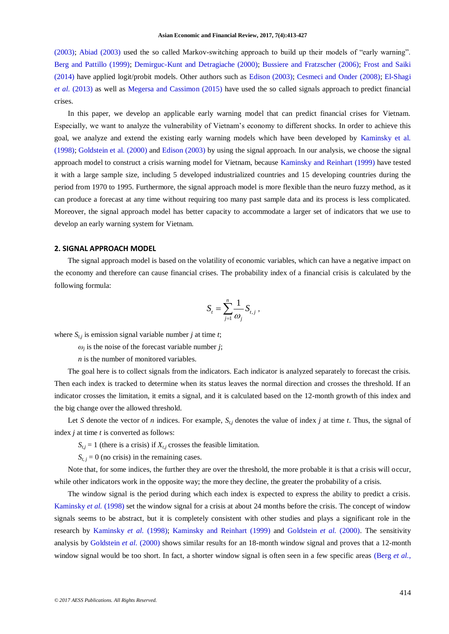[\(2003\)](#page-13-7); [Abiad \(2003\)](#page-13-8) used the so called Markov-switching approach to build up their models of "early warning". [Berg and Pattillo \(1999\)](#page-13-3); [Demirguc-Kunt and Detragiache \(2000\)](#page-13-9); [Bussiere and Fratzscher \(2006\)](#page-13-10); [Frost and Saiki](#page-13-11)  [\(2014\)](#page-13-11) have applied logit/probit models. Other authors such as [Edison \(2003\)](#page-13-2); [Cesmeci and Onder \(2008\)](#page-13-12); [El-Shagi](#page-13-13) *et al.* [\(2013\)](#page-13-13) as well as [Megersa and Cassimon \(2015\)](#page-14-4) have used the so called signals approach to predict financial crises.

In this paper, we develop an applicable early warning model that can predict financial crises for Vietnam. Especially, we want to analyze the vulnerability of Vietnam"s economy to different shocks. In order to achieve this goal, we analyze and extend the existing early warning models which have been developed by [Kaminsky et al.](#page-13-0)  [\(1998\)](#page-13-0); [Goldstein et al. \(2000\)](#page-13-1) and [Edison \(2003\)](#page-13-2) by using the signal approach*.* In our analysis, we choose the signal approach model to construct a crisis warning model for Vietnam, because [Kaminsky and Reinhart \(1999\)](#page-13-14) have tested it with a large sample size, including 5 developed industrialized countries and 15 developing countries during the period from 1970 to 1995. Furthermore, the signal approach model is more flexible than the neuro fuzzy method, as it can produce a forecast at any time without requiring too many past sample data and its process is less complicated. Moreover, the signal approach model has better capacity to accommodate a larger set of indicators that we use to develop an early warning system for Vietnam.

## **2. SIGNAL APPROACH MODEL**

The signal approach model is based on the volatility of economic variables, which can have a negative impact on the economy and therefore can cause financial crises. The probability index of a financial crisis is calculated by the following formula:

$$
S_t = \sum_{j=1}^n \frac{1}{\omega_j} S_{t,j},
$$

where  $S_{t,j}$  is emission signal variable number *j* at time *t*;

 $\omega_j$  is the noise of the forecast variable number *j*;

*n* is the number of monitored variables.

The goal here is to collect signals from the indicators. Each indicator is analyzed separately to forecast the crisis. Then each index is tracked to determine when its status leaves the normal direction and crosses the threshold. If an indicator crosses the limitation, it emits a signal, and it is calculated based on the 12-month growth of this index and the big change over the allowed threshold.

Let *S* denote the vector of *n* indices. For example,  $S_{t,i}$  denotes the value of index *j* at time *t*. Thus, the signal of index *j* at time *t* is converted as follows:

 $S_{t,i} = 1$  (there is a crisis) if  $X_{t,i}$  crosses the feasible limitation.

 $S_t$  *j* = 0 (no crisis) in the remaining cases.

Note that, for some indices, the further they are over the threshold, the more probable it is that a crisis will occur, while other indicators work in the opposite way; the more they decline, the greater the probability of a crisis.

The window signal is the period during which each index is expected to express the ability to predict a crisis. [Kaminsky](#page-13-0) *et al.* (1998) set the window signal for a crisis at about 24 months before the crisis. The concept of window signals seems to be abstract, but it is completely consistent with other studies and plays a significant role in the research by [Kaminsky](#page-13-0) *et al.* (1998); [Kaminsky and Reinhart \(1999\)](#page-13-14) and [Goldstein](#page-13-1) *et al.* (2000). The sensitivity analysis by [Goldstein](#page-13-1) *et al.* (2000) shows similar results for an 18-month window signal and proves that a 12-month window signal would be too short. In fact, a shorter window signal is often seen in a few specific areas [\(Berg](#page-13-15) *et al.*,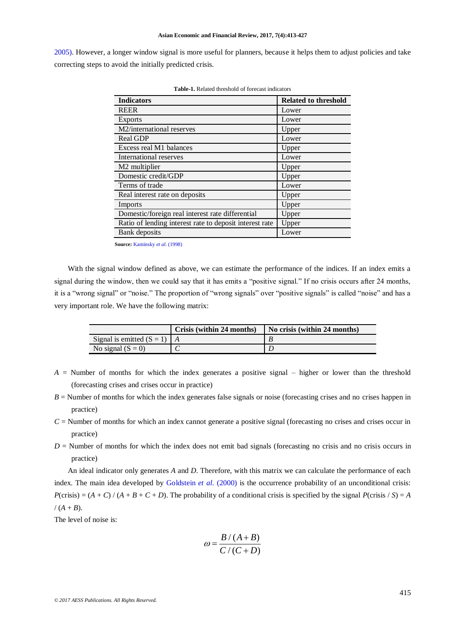[2005\)](#page-13-15). However, a longer window signal is more useful for planners, because it helps them to adjust policies and take correcting steps to avoid the initially predicted crisis.

| <b>Indicators</b>                                       | <b>Related to threshold</b> |
|---------------------------------------------------------|-----------------------------|
| <b>REER</b>                                             | Lower                       |
| <b>Exports</b>                                          | Lower                       |
| M2/international reserves                               | Upper                       |
| <b>Real GDP</b>                                         | Lower                       |
| Excess real M1 balances                                 | Upper                       |
| International reserves                                  | Lower                       |
| M <sub>2</sub> multiplier                               | Upper                       |
| Domestic credit/GDP                                     | Upper                       |
| Terms of trade                                          | Lower                       |
| Real interest rate on deposits                          | Upper                       |
| Imports                                                 | Upper                       |
| Domestic/foreign real interest rate differential        | Upper                       |
| Ratio of lending interest rate to deposit interest rate | Upper                       |
| Bank deposits                                           | Lower                       |

**Table-1.** Related threshold of forecast indicators

**Source:** [Kaminsky](#page-13-0) *et al.* (1998)

With the signal window defined as above, we can estimate the performance of the indices. If an index emits a signal during the window, then we could say that it has emits a "positive signal." If no crisis occurs after 24 months, it is a "wrong signal" or "noise." The proportion of "wrong signals" over "positive signals" is called "noise" and has a very important role. We have the following matrix:

|                                 | Crisis (within 24 months) | No crisis (within 24 months) |
|---------------------------------|---------------------------|------------------------------|
| Signal is emitted $(S = 1)$   A |                           |                              |
| No signal $(S = 0)$             |                           |                              |

- $A =$  Number of months for which the index generates a positive signal higher or lower than the threshold (forecasting crises and crises occur in practice)
- $B =$  Number of months for which the index generates false signals or noise (forecasting crises and no crises happen in practice)
- $C =$  Number of months for which an index cannot generate a positive signal (forecasting no crises and crises occur in practice)
- $D =$  Number of months for which the index does not emit bad signals (forecasting no crisis and no crisis occurs in practice)

An ideal indicator only generates *A* and *D*. Therefore, with this matrix we can calculate the performance of each index. The main idea developed by [Goldstein](#page-13-1) *et al.* (2000) is the occurrence probability of an unconditional crisis:  $P(\text{crisis}) = (A + C) / (A + B + C + D)$ . The probability of a conditional crisis is specified by the signal  $P(\text{crisis} / S) = A$  $/(A + B).$ 

The level of noise is:

$$
\omega = \frac{B/(A+B)}{C/(C+D)}
$$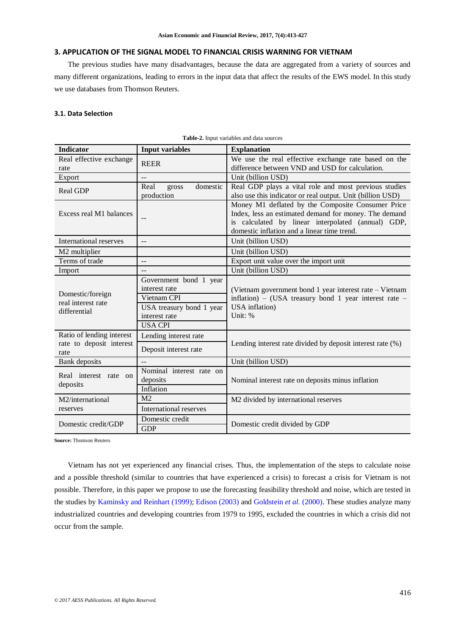# **3. APPLICATION OF THE SIGNAL MODEL TO FINANCIAL CRISIS WARNING FOR VIETNAM**

The previous studies have many disadvantages, because the data are aggregated from a variety of sources and many different organizations, leading to errors in the input data that affect the results of the EWS model. In this study we use databases from Thomson Reuters.

# **3.1. Data Selection**

| <b>Indicator</b>                                              | <b>Input variables</b>                                                                                                | <b>Explanation</b>                                                                                                                                                                                              |  |  |  |
|---------------------------------------------------------------|-----------------------------------------------------------------------------------------------------------------------|-----------------------------------------------------------------------------------------------------------------------------------------------------------------------------------------------------------------|--|--|--|
| Real effective exchange                                       | <b>REER</b>                                                                                                           | We use the real effective exchange rate based on the                                                                                                                                                            |  |  |  |
| rate                                                          |                                                                                                                       | difference between VND and USD for calculation.                                                                                                                                                                 |  |  |  |
| Export                                                        |                                                                                                                       | Unit (billion USD)                                                                                                                                                                                              |  |  |  |
| <b>Real GDP</b>                                               | domestic<br>Real<br>gross<br>production                                                                               | Real GDP plays a vital role and most previous studies<br>also use this indicator or real output. Unit (billion USD)                                                                                             |  |  |  |
| Excess real M1 balances                                       | $-$                                                                                                                   | Money M1 deflated by the Composite Consumer Price<br>Index, less an estimated demand for money. The demand<br>is calculated by linear interpolated (annual) GDP,<br>domestic inflation and a linear time trend. |  |  |  |
| <b>International reserves</b>                                 | $-$                                                                                                                   | Unit (billion USD)                                                                                                                                                                                              |  |  |  |
| M2 multiplier                                                 |                                                                                                                       | Unit (billion USD)                                                                                                                                                                                              |  |  |  |
| Terms of trade                                                | $-$                                                                                                                   | Export unit value over the import unit                                                                                                                                                                          |  |  |  |
| Import                                                        |                                                                                                                       | Unit (billion USD)                                                                                                                                                                                              |  |  |  |
| Domestic/foreign<br>real interest rate<br>differential        | Government bond 1 year<br>interest rate<br>Vietnam CPI<br>USA treasury bond 1 year<br>interest rate<br><b>USA CPI</b> | (Vietnam government bond 1 year interest rate – Vietnam<br>inflation) – (USA treasury bond 1 year interest rate –<br><b>USA</b> inflation)<br>Unit: %                                                           |  |  |  |
| Ratio of lending interest<br>rate to deposit interest<br>rate | Lending interest rate<br>Deposit interest rate                                                                        | Lending interest rate divided by deposit interest rate (%)                                                                                                                                                      |  |  |  |
| Bank deposits                                                 | $\equiv$                                                                                                              | Unit (billion USD)                                                                                                                                                                                              |  |  |  |
| Real interest rate on<br>deposits                             | Nominal interest rate on<br>deposits<br>Inflation                                                                     | Nominal interest rate on deposits minus inflation                                                                                                                                                               |  |  |  |
| M2/international<br>reserves                                  | M <sub>2</sub><br>International reserves                                                                              | M2 divided by international reserves                                                                                                                                                                            |  |  |  |
| Domestic credit/GDP                                           | Domestic credit<br><b>GDP</b>                                                                                         | Domestic credit divided by GDP                                                                                                                                                                                  |  |  |  |

**Source:** Thomson Reuters

Vietnam has not yet experienced any financial crises. Thus, the implementation of the steps to calculate noise and a possible threshold (similar to countries that have experienced a crisis) to forecast a crisis for Vietnam is not possible. Therefore, in this paper we propose to use the forecasting feasibility threshold and noise, which are tested in the studies by [Kaminsky and Reinhart \(1999\)](#page-13-14); [Edison \(2003\)](#page-13-2) and [Goldstein](#page-13-1) *et al.* (2000). These studies analyze many industrialized countries and developing countries from 1979 to 1995, excluded the countries in which a crisis did not occur from the sample.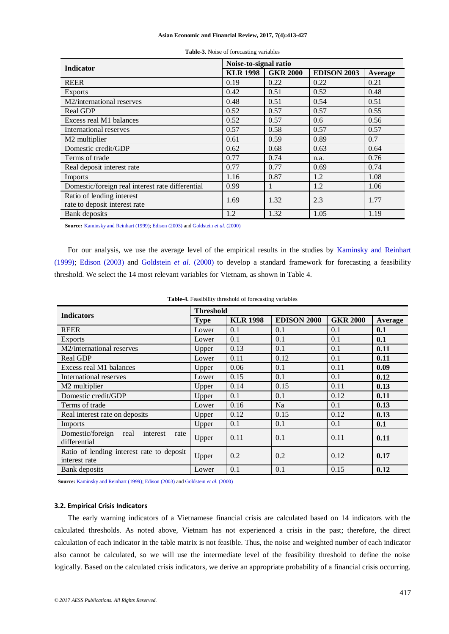|                                                  | Noise-to-signal ratio |                 |                    |         |  |
|--------------------------------------------------|-----------------------|-----------------|--------------------|---------|--|
| <b>Indicator</b>                                 | <b>KLR 1998</b>       | <b>GKR 2000</b> | <b>EDISON 2003</b> | Average |  |
| <b>REER</b>                                      | 0.19                  | 0.22            | 0.22               | 0.21    |  |
| <b>Exports</b>                                   | 0.42                  | 0.51            | 0.52               | 0.48    |  |
| M2/international reserves                        | 0.48                  | 0.51            | 0.54               | 0.51    |  |
| Real GDP                                         | 0.52                  | 0.57            | 0.57               | 0.55    |  |
| Excess real M1 balances                          | 0.52                  | 0.57            | 0.6                | 0.56    |  |
| International reserves                           | 0.57                  | 0.58            | 0.57               | 0.57    |  |
| M <sub>2</sub> multiplier                        | 0.61                  | 0.59            | 0.89               | 0.7     |  |
| Domestic credit/GDP                              | 0.62                  | 0.68            | 0.63               | 0.64    |  |
| Terms of trade                                   | 0.77                  | 0.74            | n.a.               | 0.76    |  |
| Real deposit interest rate                       | 0.77                  | 0.77            | 0.69               | 0.74    |  |
| Imports                                          | 1.16                  | 0.87            | 1.2                | 1.08    |  |
| Domestic/foreign real interest rate differential | 0.99                  |                 | 1.2                | 1.06    |  |
| Ratio of lending interest                        | 1.69                  | 1.32            | 2.3                | 1.77    |  |
| rate to deposit interest rate                    |                       |                 |                    |         |  |
| Bank deposits                                    | 1.2                   | 1.32            | 1.05               | 1.19    |  |

| <b>Table-3.</b> Noise of forecasting variables |
|------------------------------------------------|
|------------------------------------------------|

 **Source:** [Kaminsky and Reinhart \(1999\)](#page-13-14)[; Edison \(2003\)](#page-13-2) an[d Goldstein](#page-13-1) *et al.* (2000)

For our analysis, we use the average level of the empirical results in the studies by [Kaminsky and Reinhart](#page-13-14)  [\(1999\)](#page-13-14); [Edison \(2003\)](#page-13-2) and [Goldstein](#page-13-1) *et al.* (2000) to develop a standard framework for forecasting a feasibility threshold. We select the 14 most relevant variables for Vietnam, as shown in Table 4.

| <b>Indicators</b>                                          | <b>Threshold</b> |                 |                    |                 |         |
|------------------------------------------------------------|------------------|-----------------|--------------------|-----------------|---------|
|                                                            | <b>Type</b>      | <b>KLR 1998</b> | <b>EDISON 2000</b> | <b>GKR 2000</b> | Average |
| <b>REER</b>                                                | Lower            | 0.1             | 0.1                | 0.1             | 0.1     |
| <b>Exports</b>                                             | Lower            | 0.1             | 0.1                | 0.1             | 0.1     |
| M2/international reserves                                  | Upper            | 0.13            | 0.1                | 0.1             | 0.11    |
| <b>Real GDP</b>                                            | Lower            | 0.11            | 0.12               | 0.1             | 0.11    |
| Excess real M1 balances                                    | Upper            | 0.06            | 0.1                | 0.11            | 0.09    |
| International reserves                                     | Lower            | 0.15            | 0.1                | 0.1             | 0.12    |
| M <sub>2</sub> multiplier                                  | Upper            | 0.14            | 0.15               | 0.11            | 0.13    |
| Domestic credit/GDP                                        | Upper            | 0.1             | 0.1                | 0.12            | 0.11    |
| Terms of trade                                             | Lower            | 0.16            | Na                 | 0.1             | 0.13    |
| Real interest rate on deposits                             | Upper            | 0.12            | 0.15               | 0.12            | 0.13    |
| Imports                                                    | Upper            | 0.1             | 0.1                | 0.1             | 0.1     |
| Domestic/foreign real interest<br>rate<br>differential     | Upper            | 0.11            | 0.1                | 0.11            | 0.11    |
| Ratio of lending interest rate to deposit<br>interest rate | Upper            | 0.2             | 0.2                | 0.12            | 0.17    |
| Bank deposits                                              | Lower            | 0.1             | 0.1                | 0.15            | 0.12    |

**Table-4.** Feasibility threshold of forecasting variables

 **Source:** [Kaminsky and Reinhart \(1999\)](#page-13-14)[; Edison \(2003\)](#page-13-2) an[d Goldstein](#page-13-1) *et al.* (2000)

# **3.2. Empirical Crisis Indicators**

The early warning indicators of a Vietnamese financial crisis are calculated based on 14 indicators with the calculated thresholds. As noted above, Vietnam has not experienced a crisis in the past; therefore, the direct calculation of each indicator in the table matrix is not feasible. Thus, the noise and weighted number of each indicator also cannot be calculated, so we will use the intermediate level of the feasibility threshold to define the noise logically. Based on the calculated crisis indicators, we derive an appropriate probability of a financial crisis occurring.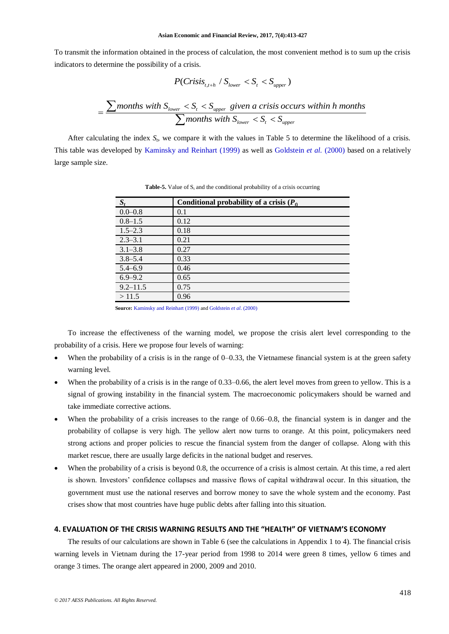To transmit the information obtained in the process of calculation, the most convenient method is to sum up the crisis indicators to determine the possibility of a crisis.

$$
P(Crisis_{t,t+h} / S_{lower} < S_t < S_{upper})
$$
\n
$$
= \frac{\sum \ntext{months with } S_{lower} < S_t < S_{upper} \text{ given a crisis occurs within } h \text{ months}}{\sum \ntext{months with } S_{lower} < S_t < S_{upper}}
$$

After calculating the index  $S_t$ , we compare it with the values in Table 5 to determine the likelihood of a crisis. This table was developed by [Kaminsky and Reinhart \(1999\)](#page-13-14) as well as [Goldstein](#page-13-1) *et al.* (2000) based on a relatively large sample size.

| $S_t$        | Conditional probability of a crisis $(P_t)$ |
|--------------|---------------------------------------------|
| $0.0 - 0.8$  | 0.1                                         |
| $0.8 - 1.5$  | 0.12                                        |
| $1.5 - 2.3$  | 0.18                                        |
| $2.3 - 3.1$  | 0.21                                        |
| $3.1 - 3.8$  | 0.27                                        |
| $3.8 - 5.4$  | 0.33                                        |
| $5.4 - 6.9$  | 0.46                                        |
| $6.9 - 9.2$  | 0.65                                        |
| $9.2 - 11.5$ | 0.75                                        |
| >11.5        | 0.96                                        |

**Table-5.** Value of  $S_t$  and the conditional probability of a crisis occurring

 **Source:** [Kaminsky and Reinhart \(1999\)](#page-13-14) an[d Goldstein](#page-13-1) *et al.* (2000)

To increase the effectiveness of the warning model, we propose the crisis alert level corresponding to the probability of a crisis. Here we propose four levels of warning:

- When the probability of a crisis is in the range of 0–0.33, the Vietnamese financial system is at the green safety warning level.
- When the probability of a crisis is in the range of 0.33–0.66, the alert level moves from green to yellow. This is a signal of growing instability in the financial system. The macroeconomic policymakers should be warned and take immediate corrective actions.
- When the probability of a crisis increases to the range of 0.66–0.8, the financial system is in danger and the probability of collapse is very high. The yellow alert now turns to orange. At this point, policymakers need strong actions and proper policies to rescue the financial system from the danger of collapse. Along with this market rescue, there are usually large deficits in the national budget and reserves.
- When the probability of a crisis is beyond 0.8, the occurrence of a crisis is almost certain. At this time, a red alert is shown. Investors" confidence collapses and massive flows of capital withdrawal occur. In this situation, the government must use the national reserves and borrow money to save the whole system and the economy. Past crises show that most countries have huge public debts after falling into this situation.

# **4. EVALUATION OF THE CRISIS WARNING RESULTS AND THE "HEALTH" OF VIETNAM'S ECONOMY**

The results of our calculations are shown in Table 6 (see the calculations in Appendix 1 to 4). The financial crisis warning levels in Vietnam during the 17-year period from 1998 to 2014 were green 8 times, yellow 6 times and orange 3 times. The orange alert appeared in 2000, 2009 and 2010.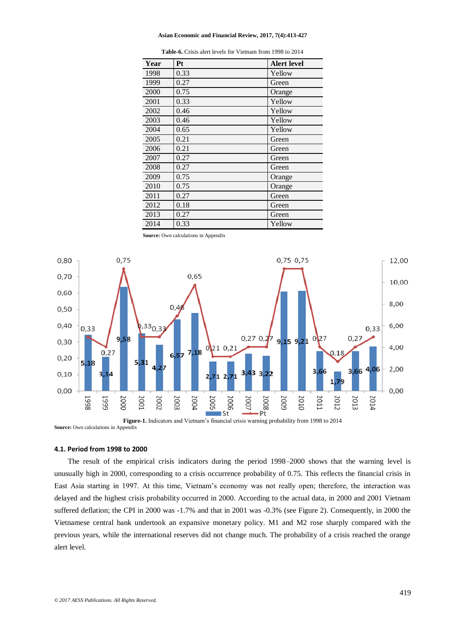#### **Asian Economic and Financial Review, 2017, 7(4):413-427**

| Year | Pt   | Alert level |
|------|------|-------------|
| 1998 | 0.33 | Yellow      |
| 1999 | 0.27 | Green       |
| 2000 | 0.75 | Orange      |
| 2001 | 0.33 | Yellow      |
| 2002 | 0.46 | Yellow      |
| 2003 | 0.46 | Yellow      |
| 2004 | 0.65 | Yellow      |
| 2005 | 0.21 | Green       |
| 2006 | 0.21 | Green       |
| 2007 | 0.27 | Green       |
| 2008 | 0.27 | Green       |
| 2009 | 0.75 | Orange      |
| 2010 | 0.75 | Orange      |
| 2011 | 0.27 | Green       |
| 2012 | 0.18 | Green       |
| 2013 | 0.27 | Green       |
| 2014 | 0.33 | Yellow      |

**Table-6.** Crisis alert levels for Vietnam from 1998 to 2014

 **Source:** Own calculations in Appendix



**Source:** Own calculations in Appendix

# **4.1. Period from 1998 to 2000**

The result of the empirical crisis indicators during the period 1998–2000 shows that the warning level is unusually high in 2000, corresponding to a crisis occurrence probability of 0.75. This reflects the financial crisis in East Asia starting in 1997. At this time, Vietnam"s economy was not really open; therefore, the interaction was delayed and the highest crisis probability occurred in 2000. According to the actual data, in 2000 and 2001 Vietnam suffered deflation; the CPI in 2000 was -1.7% and that in 2001 was -0.3% (see Figure 2). Consequently, in 2000 the Vietnamese central bank undertook an expansive monetary policy. M1 and M2 rose sharply compared with the previous years, while the international reserves did not change much. The probability of a crisis reached the orange alert level.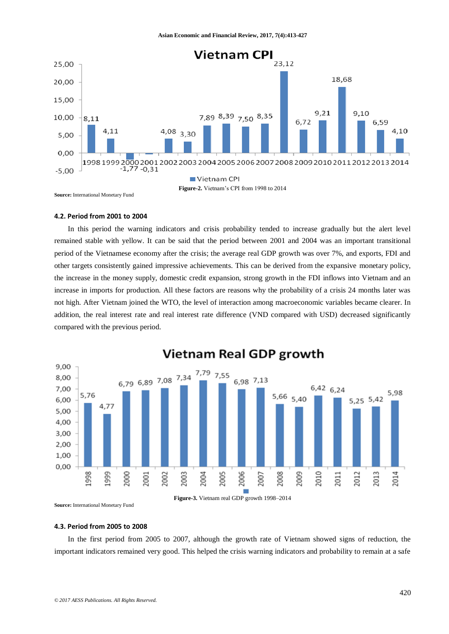

### **4.2. Period from 2001 to 2004**

In this period the warning indicators and crisis probability tended to increase gradually but the alert level remained stable with yellow. It can be said that the period between 2001 and 2004 was an important transitional period of the Vietnamese economy after the crisis; the average real GDP growth was over 7%, and exports, FDI and other targets consistently gained impressive achievements. This can be derived from the expansive monetary policy, the increase in the money supply, domestic credit expansion, strong growth in the FDI inflows into Vietnam and an increase in imports for production. All these factors are reasons why the probability of a crisis 24 months later was not high. After Vietnam joined the WTO, the level of interaction among macroeconomic variables became clearer. In addition, the real interest rate and real interest rate difference (VND compared with USD) decreased significantly compared with the previous period.



### **4.3. Period from 2005 to 2008**

In the first period from 2005 to 2007, although the growth rate of Vietnam showed signs of reduction, the important indicators remained very good. This helped the crisis warning indicators and probability to remain at a safe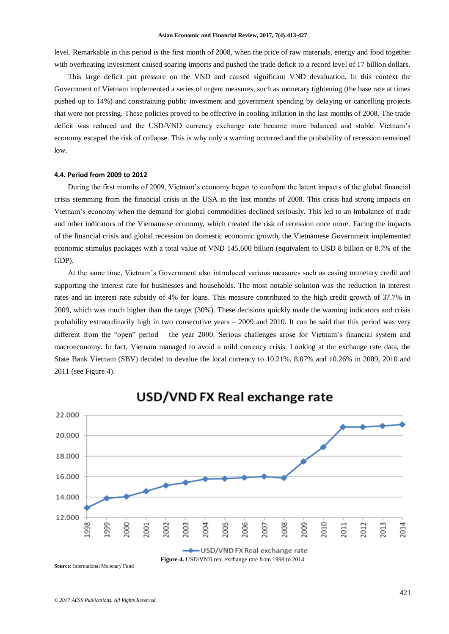level. Remarkable in this period is the first month of 2008, when the price of raw materials, energy and food together with overheating investment caused soaring imports and pushed the trade deficit to a record level of 17 billion dollars.

This large deficit put pressure on the VND and caused significant VND devaluation. In this context the Government of Vietnam implemented a series of urgent measures, such as monetary tightening (the base rate at times pushed up to 14%) and constraining public investment and government spending by delaying or cancelling projects that were not pressing. These policies proved to be effective in cooling inflation in the last months of 2008. The trade deficit was reduced and the USD/VND currency exchange rate became more balanced and stable. Vietnam"s economy escaped the risk of collapse. This is why only a warning occurred and the probability of recession remained low.

## **4.4. Period from 2009 to 2012**

During the first months of 2009, Vietnam"s economy began to confront the latent impacts of the global financial crisis stemming from the financial crisis in the USA in the last months of 2008. This crisis had strong impacts on Vietnam"s economy when the demand for global commodities declined seriously. This led to an imbalance of trade and other indicators of the Vietnamese economy, which created the risk of recession once more. Facing the impacts of the financial crisis and global recession on domestic economic growth, the Vietnamese Government implemented economic stimulus packages with a total value of VND 145,600 billion (equivalent to USD 8 billion or 8.7% of the GDP).

At the same time, Vietnam"s Government also introduced various measures such as easing monetary credit and supporting the interest rate for businesses and households. The most notable solution was the reduction in interest rates and an interest rate subsidy of 4% for loans. This measure contributed to the high credit growth of 37.7% in 2009, which was much higher than the target (30%). These decisions quickly made the warning indicators and crisis probability extraordinarily high in two consecutive years – 2009 and 2010. It can be said that this period was very different from the "open" period – the year 2000. Serious challenges arose for Vietnam"s financial system and macroeconomy. In fact, Vietnam managed to avoid a mild currency crisis. Looking at the exchange rate data, the State Bank Vietnam (SBV) decided to devalue the local currency to 10.21%, 8.07% and 10.26% in 2009, 2010 and 2011 (see Figure 4).



# USD/VND FX Real exchange rate

**Source:** International Monetary Fund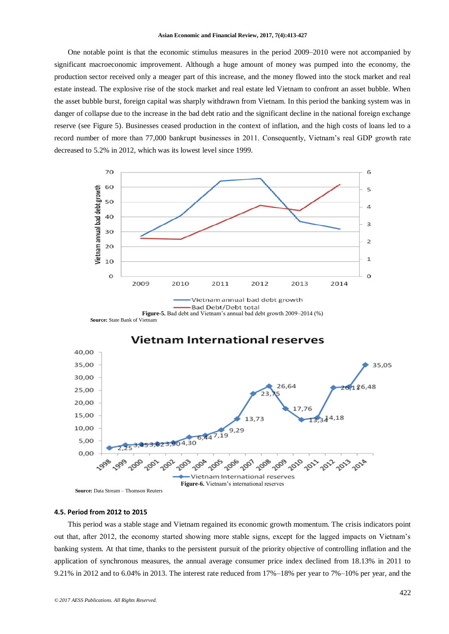#### **Asian Economic and Financial Review, 2017, 7(4):413-427**

One notable point is that the economic stimulus measures in the period 2009–2010 were not accompanied by significant macroeconomic improvement. Although a huge amount of money was pumped into the economy, the production sector received only a meager part of this increase, and the money flowed into the stock market and real estate instead. The explosive rise of the stock market and real estate led Vietnam to confront an asset bubble. When the asset bubble burst, foreign capital was sharply withdrawn from Vietnam. In this period the banking system was in danger of collapse due to the increase in the bad debt ratio and the significant decline in the national foreign exchange reserve (see Figure 5). Businesses ceased production in the context of inflation, and the high costs of loans led to a record number of more than 77,000 bankrupt businesses in 2011. Consequently, Vietnam"s real GDP growth rate decreased to 5.2% in 2012, which was its lowest level since 1999.





# **Vietnam International reserves**

# **4.5. Period from 2012 to 2015**

This period was a stable stage and Vietnam regained its economic growth momentum. The crisis indicators point out that, after 2012, the economy started showing more stable signs, except for the lagged impacts on Vietnam"s banking system. At that time, thanks to the persistent pursuit of the priority objective of controlling inflation and the application of synchronous measures, the annual average consumer price index declined from 18.13% in 2011 to 9.21% in 2012 and to 6.04% in 2013. The interest rate reduced from 17%–18% per year to 7%–10% per year, and the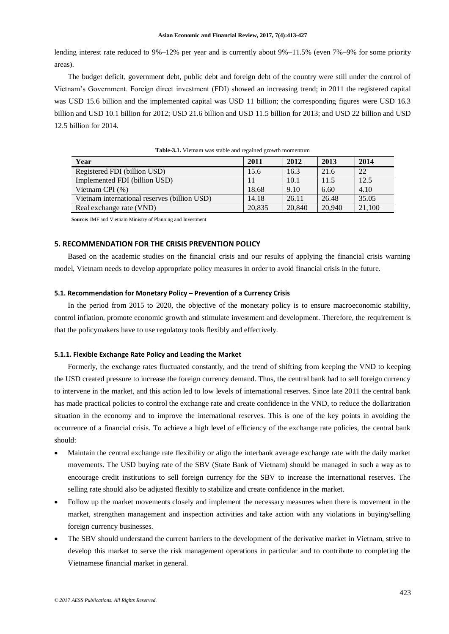#### **Asian Economic and Financial Review, 2017, 7(4):413-427**

lending interest rate reduced to 9%–12% per year and is currently about 9%–11.5% (even 7%–9% for some priority areas).

The budget deficit, government debt, public debt and foreign debt of the country were still under the control of Vietnam"s Government. Foreign direct investment (FDI) showed an increasing trend; in 2011 the registered capital was USD 15.6 billion and the implemented capital was USD 11 billion; the corresponding figures were USD 16.3 billion and USD 10.1 billion for 2012; USD 21.6 billion and USD 11.5 billion for 2013; and USD 22 billion and USD 12.5 billion for 2014.

| Year                                         | 2011   | 2012   | 2013   | 2014   |
|----------------------------------------------|--------|--------|--------|--------|
| Registered FDI (billion USD)                 | 15.6   | 16.3   | 21.6   | 22     |
| Implemented FDI (billion USD)                |        | 10.1   | 11.5   | 12.5   |
| Vietnam CPI $(\%)$                           | 18.68  | 9.10   | 6.60   | 4.10   |
| Vietnam international reserves (billion USD) | 14.18  | 26.11  | 26.48  | 35.05  |
| Real exchange rate (VND)                     | 20,835 | 20,840 | 20,940 | 21,100 |

**Table-3.1.** Vietnam was stable and regained growth momentum

 **Source:** IMF and Vietnam Ministry of Planning and Investment

# **5. RECOMMENDATION FOR THE CRISIS PREVENTION POLICY**

Based on the academic studies on the financial crisis and our results of applying the financial crisis warning model, Vietnam needs to develop appropriate policy measures in order to avoid financial crisis in the future.

## **5.1. Recommendation for Monetary Policy – Prevention of a Currency Crisis**

In the period from 2015 to 2020, the objective of the monetary policy is to ensure macroeconomic stability, control inflation, promote economic growth and stimulate investment and development. Therefore, the requirement is that the policymakers have to use regulatory tools flexibly and effectively.

## **5.1.1. Flexible Exchange Rate Policy and Leading the Market**

Formerly, the exchange rates fluctuated constantly, and the trend of shifting from keeping the VND to keeping the USD created pressure to increase the foreign currency demand. Thus, the central bank had to sell foreign currency to intervene in the market, and this action led to low levels of international reserves. Since late 2011 the central bank has made practical policies to control the exchange rate and create confidence in the VND, to reduce the dollarization situation in the economy and to improve the international reserves. This is one of the key points in avoiding the occurrence of a financial crisis. To achieve a high level of efficiency of the exchange rate policies, the central bank should:

- Maintain the central exchange rate flexibility or align the interbank average exchange rate with the daily market movements. The USD buying rate of the SBV (State Bank of Vietnam) should be managed in such a way as to encourage credit institutions to sell foreign currency for the SBV to increase the international reserves. The selling rate should also be adjusted flexibly to stabilize and create confidence in the market.
- Follow up the market movements closely and implement the necessary measures when there is movement in the market, strengthen management and inspection activities and take action with any violations in buying/selling foreign currency businesses.
- The SBV should understand the current barriers to the development of the derivative market in Vietnam, strive to develop this market to serve the risk management operations in particular and to contribute to completing the Vietnamese financial market in general.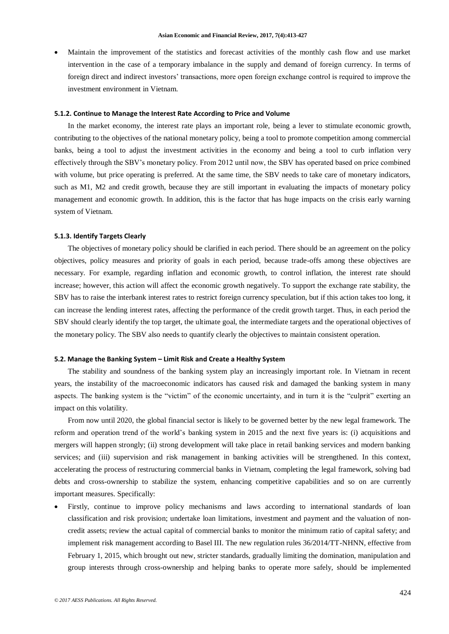Maintain the improvement of the statistics and forecast activities of the monthly cash flow and use market intervention in the case of a temporary imbalance in the supply and demand of foreign currency. In terms of foreign direct and indirect investors" transactions, more open foreign exchange control is required to improve the investment environment in Vietnam.

#### **5.1.2. Continue to Manage the Interest Rate According to Price and Volume**

In the market economy, the interest rate plays an important role, being a lever to stimulate economic growth, contributing to the objectives of the national monetary policy, being a tool to promote competition among commercial banks, being a tool to adjust the investment activities in the economy and being a tool to curb inflation very effectively through the SBV"s monetary policy. From 2012 until now, the SBV has operated based on price combined with volume, but price operating is preferred. At the same time, the SBV needs to take care of monetary indicators, such as M1, M2 and credit growth, because they are still important in evaluating the impacts of monetary policy management and economic growth. In addition, this is the factor that has huge impacts on the crisis early warning system of Vietnam.

## **5.1.3. Identify Targets Clearly**

The objectives of monetary policy should be clarified in each period. There should be an agreement on the policy objectives, policy measures and priority of goals in each period, because trade-offs among these objectives are necessary. For example, regarding inflation and economic growth, to control inflation, the interest rate should increase; however, this action will affect the economic growth negatively. To support the exchange rate stability, the SBV has to raise the interbank interest rates to restrict foreign currency speculation, but if this action takes too long, it can increase the lending interest rates, affecting the performance of the credit growth target. Thus, in each period the SBV should clearly identify the top target, the ultimate goal, the intermediate targets and the operational objectives of the monetary policy. The SBV also needs to quantify clearly the objectives to maintain consistent operation.

## **5.2. Manage the Banking System – Limit Risk and Create a Healthy System**

The stability and soundness of the banking system play an increasingly important role. In Vietnam in recent years, the instability of the macroeconomic indicators has caused risk and damaged the banking system in many aspects. The banking system is the "victim" of the economic uncertainty, and in turn it is the "culprit" exerting an impact on this volatility.

From now until 2020, the global financial sector is likely to be governed better by the new legal framework. The reform and operation trend of the world"s banking system in 2015 and the next five years is: (i) acquisitions and mergers will happen strongly; (ii) strong development will take place in retail banking services and modern banking services; and (iii) supervision and risk management in banking activities will be strengthened. In this context, accelerating the process of restructuring commercial banks in Vietnam, completing the legal framework, solving bad debts and cross-ownership to stabilize the system, enhancing competitive capabilities and so on are currently important measures. Specifically:

 Firstly, continue to improve policy mechanisms and laws according to international standards of loan classification and risk provision; undertake loan limitations, investment and payment and the valuation of noncredit assets; review the actual capital of commercial banks to monitor the minimum ratio of capital safety; and implement risk management according to Basel III. The new regulation rules 36/2014/TT-NHNN, effective from February 1, 2015, which brought out new, stricter standards, gradually limiting the domination, manipulation and group interests through cross-ownership and helping banks to operate more safely, should be implemented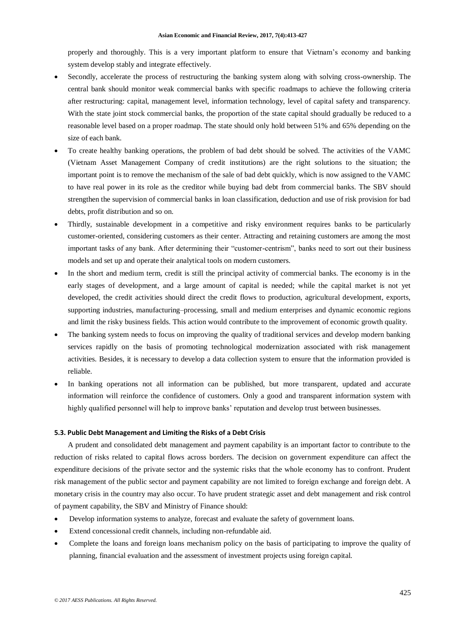properly and thoroughly. This is a very important platform to ensure that Vietnam"s economy and banking system develop stably and integrate effectively.

- Secondly, accelerate the process of restructuring the banking system along with solving cross-ownership. The central bank should monitor weak commercial banks with specific roadmaps to achieve the following criteria after restructuring: capital, management level, information technology, level of capital safety and transparency. With the state joint stock commercial banks, the proportion of the state capital should gradually be reduced to a reasonable level based on a proper roadmap. The state should only hold between 51% and 65% depending on the size of each bank.
- To create healthy banking operations, the problem of bad debt should be solved. The activities of the VAMC (Vietnam Asset Management Company of credit institutions) are the right solutions to the situation; the important point is to remove the mechanism of the sale of bad debt quickly, which is now assigned to the VAMC to have real power in its role as the creditor while buying bad debt from commercial banks. The SBV should strengthen the supervision of commercial banks in loan classification, deduction and use of risk provision for bad debts, profit distribution and so on.
- Thirdly, sustainable development in a competitive and risky environment requires banks to be particularly customer-oriented, considering customers as their center. Attracting and retaining customers are among the most important tasks of any bank. After determining their "customer-centrism", banks need to sort out their business models and set up and operate their analytical tools on modern customers.
- In the short and medium term, credit is still the principal activity of commercial banks. The economy is in the early stages of development, and a large amount of capital is needed; while the capital market is not yet developed, the credit activities should direct the credit flows to production, agricultural development, exports, supporting industries, manufacturing–processing, small and medium enterprises and dynamic economic regions and limit the risky business fields. This action would contribute to the improvement of economic growth quality.
- The banking system needs to focus on improving the quality of traditional services and develop modern banking services rapidly on the basis of promoting technological modernization associated with risk management activities. Besides, it is necessary to develop a data collection system to ensure that the information provided is reliable.
- In banking operations not all information can be published, but more transparent, updated and accurate information will reinforce the confidence of customers. Only a good and transparent information system with highly qualified personnel will help to improve banks" reputation and develop trust between businesses.

## **5.3. Public Debt Management and Limiting the Risks of a Debt Crisis**

A prudent and consolidated debt management and payment capability is an important factor to contribute to the reduction of risks related to capital flows across borders. The decision on government expenditure can affect the expenditure decisions of the private sector and the systemic risks that the whole economy has to confront. Prudent risk management of the public sector and payment capability are not limited to foreign exchange and foreign debt. A monetary crisis in the country may also occur. To have prudent strategic asset and debt management and risk control of payment capability, the SBV and Ministry of Finance should:

- Develop information systems to analyze, forecast and evaluate the safety of government loans.
- Extend concessional credit channels, including non-refundable aid.
- Complete the loans and foreign loans mechanism policy on the basis of participating to improve the quality of planning, financial evaluation and the assessment of investment projects using foreign capital.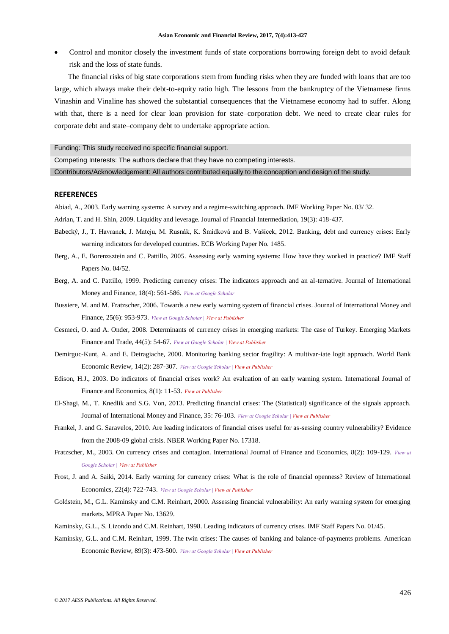Control and monitor closely the investment funds of state corporations borrowing foreign debt to avoid default risk and the loss of state funds.

The financial risks of big state corporations stem from funding risks when they are funded with loans that are too large, which always make their debt-to-equity ratio high. The lessons from the bankruptcy of the Vietnamese firms Vinashin and Vinaline has showed the substantial consequences that the Vietnamese economy had to suffer. Along with that, there is a need for clear loan provision for state–corporation debt. We need to create clear rules for corporate debt and state–company debt to undertake appropriate action.

Funding: This study received no specific financial support.

Competing Interests: The authors declare that they have no competing interests.

Contributors/Acknowledgement: All authors contributed equally to the conception and design of the study.

# **REFERENCES**

<span id="page-13-8"></span>Abiad, A., 2003. Early warning systems: A survey and a regime-switching approach. IMF Working Paper No. 03/ 32.

<span id="page-13-4"></span>Adrian, T. and H. Shin, 2009. Liquidity and leverage. Journal of Financial Intermediation, 19(3): 418-437.

- <span id="page-13-6"></span>Babecký, J., T. Havranek, J. Mateju, M. Rusnák, K. Šmídková and B. Vašícek, 2012. Banking, debt and currency crises: Early warning indicators for developed countries. ECB Working Paper No. 1485.
- <span id="page-13-15"></span>Berg, A., E. Borenzsztein and C. Pattillo, 2005. Assessing early warning systems: How have they worked in practice? IMF Staff Papers No. 04/52.
- <span id="page-13-3"></span>Berg, A. and C. Pattillo, 1999. Predicting currency crises: The indicators approach and an al-ternative. Journal of International Money and Finance, 18(4): 561-586. *View at Google [Scholar](https://scholar.google.com/scholar?hl=en&q=Predicting%20currency%20crises:%20The%20indicators%20approach%20and%20an%20al-ternative)*
- <span id="page-13-10"></span>Bussiere, M. and M. Fratzscher, 2006. Towards a new early warning system of financial crises. Journal of International Money and Finance, 25(6): 953-973. *View at Google [Scholar](https://scholar.google.com/scholar?hl=en&q=Towards%20a%20new%20early%20warning%20system%20of%20financial%20crises) | View at [Publisher](http://dx.doi.org/10.1016/j.jimonfin.2006.07.007)*
- <span id="page-13-12"></span>Cesmeci, O. and A. Onder, 2008. Determinants of currency crises in emerging markets: The case of Turkey. Emerging Markets Finance and Trade, 44(5): 54-67. *View at Google [Scholar](https://scholar.google.com/scholar?hl=en&q=Determinants%20of%20currency%20crises%20in%20emerging%20markets:%20The%20case%20of%20Turkey) | View at [Publisher](http://dx.doi.org/10.2753/ree1540-496x440504)*
- <span id="page-13-9"></span>Demirguc-Kunt, A. and E. Detragiache, 2000. Monitoring banking sector fragility: A multivar-iate logit approach. World Bank Economic Review, 14(2): 287-307. *View at Google [Scholar](https://scholar.google.com/scholar?hl=en&q=Monitoring%20banking%20sector%20fragility:%20A%20multivar-iate%20logit%20approach) | View at [Publisher](http://dx.doi.org/10.1093/wber/14.2.287)*
- <span id="page-13-2"></span>Edison, H.J., 2003. Do indicators of financial crises work? An evaluation of an early warning system. International Journal of Finance and Economics, 8(1): 11-53. *View at [Publisher](http://dx.doi.org/10.1002/ijfe.197)*
- <span id="page-13-13"></span>El-Shagi, M., T. Knedlik and S.G. Von, 2013. Predicting financial crises: The (Statistical) significance of the signals approach. Journal of International Money and Finance, 35: 76-103. *View at Google [Scholar](https://scholar.google.com/scholar?hl=en&q=Predicting%20financial%20crises:%20The%20(Statistical)%20significance%20of%20the%20signals%20approach) | View at [Publisher](http://dx.doi.org/10.1016/j.jimonfin.2013.02.001)*
- <span id="page-13-5"></span>Frankel, J. and G. Saravelos, 2010. Are leading indicators of financial crises useful for as-sessing country vulnerability? Evidence from the 2008-09 global crisis. NBER Working Paper No. 17318.
- <span id="page-13-7"></span>Fratzscher, M., 2003. On currency crises and contagion. International Journal of Finance and Economics, 8(2): 109-129. *[View](https://scholar.google.com/scholar?hl=en&q=On%20currency%20crises%20and%20contagion) at Google [Scholar](https://scholar.google.com/scholar?hl=en&q=On%20currency%20crises%20and%20contagion) | View at [Publisher](http://dx.doi.org/10.1002/ijfe.203)*
- <span id="page-13-11"></span>Frost, J. and A. Saiki, 2014. Early warning for currency crises: What is the role of financial openness? Review of International Economics, 22(4): 722-743. *View at Google [Scholar](https://scholar.google.com/scholar?hl=en&q=Early%20warning%20for%20currency%20crises:%20What%20is%20the%20role%20of%20financial%20openness?) | View at [Publisher](http://dx.doi.org/10.1111/roie.12124)*
- <span id="page-13-1"></span>Goldstein, M., G.L. Kaminsky and C.M. Reinhart, 2000. Assessing financial vulnerability: An early warning system for emerging markets. MPRA Paper No. 13629.
- <span id="page-13-0"></span>Kaminsky, G.L., S. Lizondo and C.M. Reinhart, 1998. Leading indicators of currency crises. IMF Staff Papers No. 01/45.
- <span id="page-13-14"></span>Kaminsky, G.L. and C.M. Reinhart, 1999. The twin crises: The causes of banking and balance-of-payments problems. American Economic Review, 89(3): 473-500. *View at Google [Scholar](https://scholar.google.com/scholar?hl=en&q=The%20twin%20crises:%20The%20causes%20of%20banking%20and%20balance-of-payments%20problems) | View at [Publisher](http://dx.doi.org/10.1257/aer.89.3.473)*